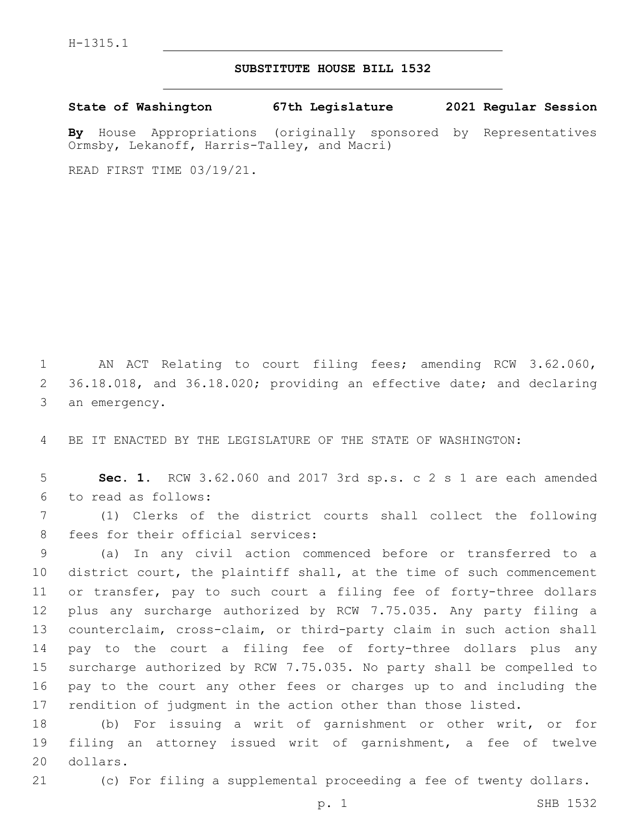## **SUBSTITUTE HOUSE BILL 1532**

**State of Washington 67th Legislature 2021 Regular Session**

**By** House Appropriations (originally sponsored by Representatives Ormsby, Lekanoff, Harris-Talley, and Macri)

READ FIRST TIME 03/19/21.

 AN ACT Relating to court filing fees; amending RCW 3.62.060, 36.18.018, and 36.18.020; providing an effective date; and declaring 3 an emergency.

BE IT ENACTED BY THE LEGISLATURE OF THE STATE OF WASHINGTON:

 **Sec. 1.** RCW 3.62.060 and 2017 3rd sp.s. c 2 s 1 are each amended 6 to read as follows:

 (1) Clerks of the district courts shall collect the following 8 fees for their official services:

 (a) In any civil action commenced before or transferred to a district court, the plaintiff shall, at the time of such commencement or transfer, pay to such court a filing fee of forty-three dollars plus any surcharge authorized by RCW 7.75.035. Any party filing a counterclaim, cross-claim, or third-party claim in such action shall pay to the court a filing fee of forty-three dollars plus any surcharge authorized by RCW 7.75.035. No party shall be compelled to pay to the court any other fees or charges up to and including the rendition of judgment in the action other than those listed.

 (b) For issuing a writ of garnishment or other writ, or for filing an attorney issued writ of garnishment, a fee of twelve 20 dollars.

(c) For filing a supplemental proceeding a fee of twenty dollars.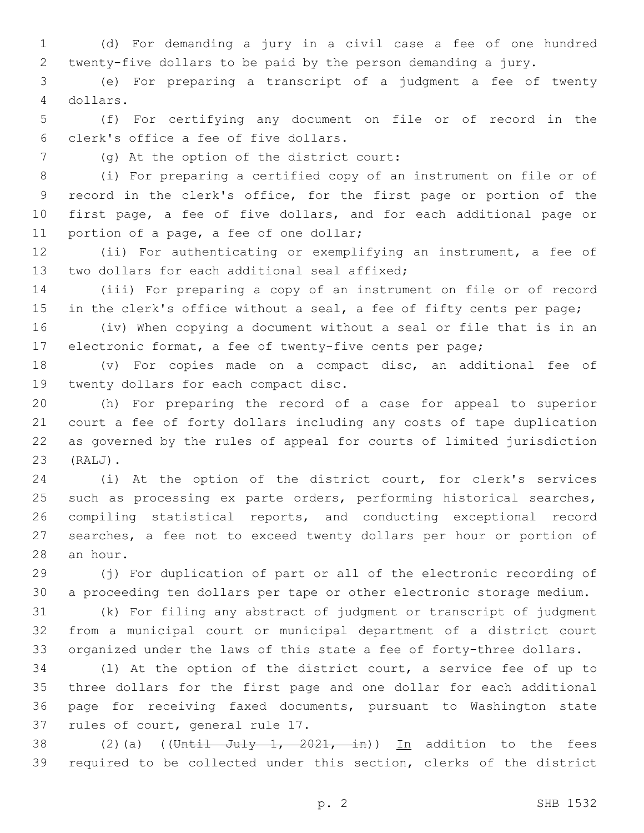(d) For demanding a jury in a civil case a fee of one hundred twenty-five dollars to be paid by the person demanding a jury.

 (e) For preparing a transcript of a judgment a fee of twenty dollars.4

 (f) For certifying any document on file or of record in the clerk's office a fee of five dollars.6

(g) At the option of the district court:7

 (i) For preparing a certified copy of an instrument on file or of record in the clerk's office, for the first page or portion of the first page, a fee of five dollars, and for each additional page or 11 portion of a page, a fee of one dollar;

 (ii) For authenticating or exemplifying an instrument, a fee of 13 two dollars for each additional seal affixed;

 (iii) For preparing a copy of an instrument on file or of record 15 in the clerk's office without a seal, a fee of fifty cents per page;

 (iv) When copying a document without a seal or file that is in an electronic format, a fee of twenty-five cents per page;

 (v) For copies made on a compact disc, an additional fee of 19 twenty dollars for each compact disc.

 (h) For preparing the record of a case for appeal to superior court a fee of forty dollars including any costs of tape duplication as governed by the rules of appeal for courts of limited jurisdiction (RALJ).23

 (i) At the option of the district court, for clerk's services 25 such as processing ex parte orders, performing historical searches, compiling statistical reports, and conducting exceptional record searches, a fee not to exceed twenty dollars per hour or portion of 28 an hour.

 (j) For duplication of part or all of the electronic recording of a proceeding ten dollars per tape or other electronic storage medium.

 (k) For filing any abstract of judgment or transcript of judgment from a municipal court or municipal department of a district court organized under the laws of this state a fee of forty-three dollars.

 (l) At the option of the district court, a service fee of up to three dollars for the first page and one dollar for each additional page for receiving faxed documents, pursuant to Washington state 37 rules of court, general rule 17.

38 (2)(a) ((Until July 1, 2021, in)) In addition to the fees required to be collected under this section, clerks of the district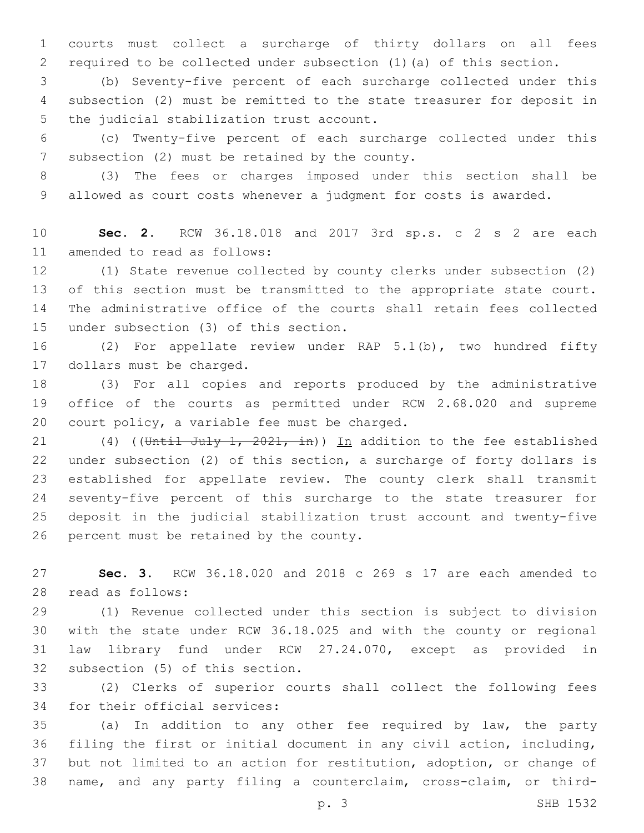courts must collect a surcharge of thirty dollars on all fees required to be collected under subsection (1)(a) of this section.

 (b) Seventy-five percent of each surcharge collected under this subsection (2) must be remitted to the state treasurer for deposit in 5 the judicial stabilization trust account.

 (c) Twenty-five percent of each surcharge collected under this 7 subsection (2) must be retained by the county.

 (3) The fees or charges imposed under this section shall be allowed as court costs whenever a judgment for costs is awarded.

 **Sec. 2.** RCW 36.18.018 and 2017 3rd sp.s. c 2 s 2 are each 11 amended to read as follows:

 (1) State revenue collected by county clerks under subsection (2) of this section must be transmitted to the appropriate state court. The administrative office of the courts shall retain fees collected 15 under subsection (3) of this section.

 (2) For appellate review under RAP 5.1(b), two hundred fifty 17 dollars must be charged.

 (3) For all copies and reports produced by the administrative office of the courts as permitted under RCW 2.68.020 and supreme 20 court policy, a variable fee must be charged.

21 (4) ((Until July 1, 2021, in)) In addition to the fee established under subsection (2) of this section, a surcharge of forty dollars is established for appellate review. The county clerk shall transmit seventy-five percent of this surcharge to the state treasurer for deposit in the judicial stabilization trust account and twenty-five 26 percent must be retained by the county.

 **Sec. 3.** RCW 36.18.020 and 2018 c 269 s 17 are each amended to 28 read as follows:

 (1) Revenue collected under this section is subject to division with the state under RCW 36.18.025 and with the county or regional law library fund under RCW 27.24.070, except as provided in 32 subsection (5) of this section.

 (2) Clerks of superior courts shall collect the following fees 34 for their official services:

 (a) In addition to any other fee required by law, the party filing the first or initial document in any civil action, including, but not limited to an action for restitution, adoption, or change of name, and any party filing a counterclaim, cross-claim, or third-

p. 3 SHB 1532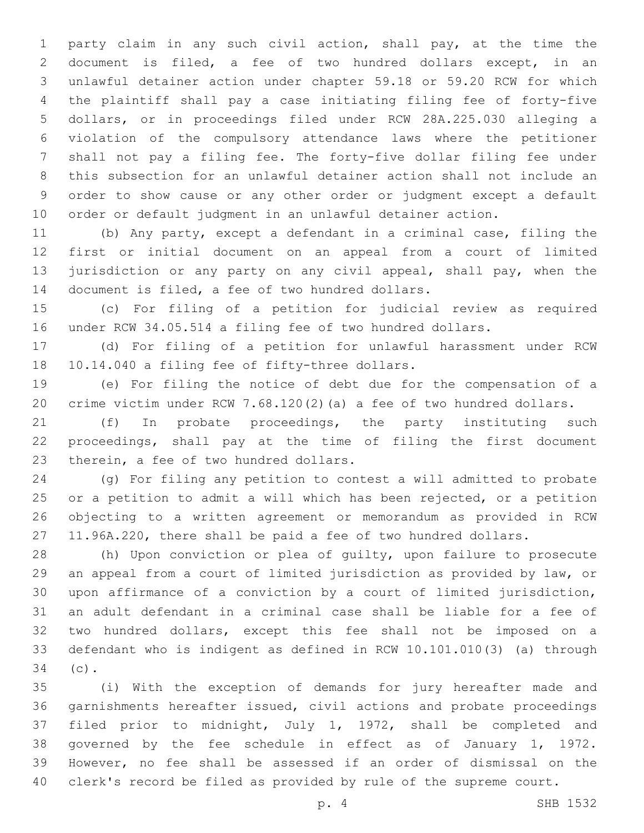party claim in any such civil action, shall pay, at the time the document is filed, a fee of two hundred dollars except, in an unlawful detainer action under chapter 59.18 or 59.20 RCW for which the plaintiff shall pay a case initiating filing fee of forty-five dollars, or in proceedings filed under RCW 28A.225.030 alleging a violation of the compulsory attendance laws where the petitioner shall not pay a filing fee. The forty-five dollar filing fee under this subsection for an unlawful detainer action shall not include an order to show cause or any other order or judgment except a default order or default judgment in an unlawful detainer action.

 (b) Any party, except a defendant in a criminal case, filing the first or initial document on an appeal from a court of limited 13 jurisdiction or any party on any civil appeal, shall pay, when the 14 document is filed, a fee of two hundred dollars.

 (c) For filing of a petition for judicial review as required under RCW 34.05.514 a filing fee of two hundred dollars.

 (d) For filing of a petition for unlawful harassment under RCW 18 10.14.040 a filing fee of fifty-three dollars.

 (e) For filing the notice of debt due for the compensation of a crime victim under RCW 7.68.120(2)(a) a fee of two hundred dollars.

 (f) In probate proceedings, the party instituting such proceedings, shall pay at the time of filing the first document 23 therein, a fee of two hundred dollars.

 (g) For filing any petition to contest a will admitted to probate or a petition to admit a will which has been rejected, or a petition objecting to a written agreement or memorandum as provided in RCW 11.96A.220, there shall be paid a fee of two hundred dollars.

 (h) Upon conviction or plea of guilty, upon failure to prosecute an appeal from a court of limited jurisdiction as provided by law, or upon affirmance of a conviction by a court of limited jurisdiction, an adult defendant in a criminal case shall be liable for a fee of two hundred dollars, except this fee shall not be imposed on a defendant who is indigent as defined in RCW 10.101.010(3) (a) through 34 (c).

 (i) With the exception of demands for jury hereafter made and garnishments hereafter issued, civil actions and probate proceedings filed prior to midnight, July 1, 1972, shall be completed and governed by the fee schedule in effect as of January 1, 1972. However, no fee shall be assessed if an order of dismissal on the clerk's record be filed as provided by rule of the supreme court.